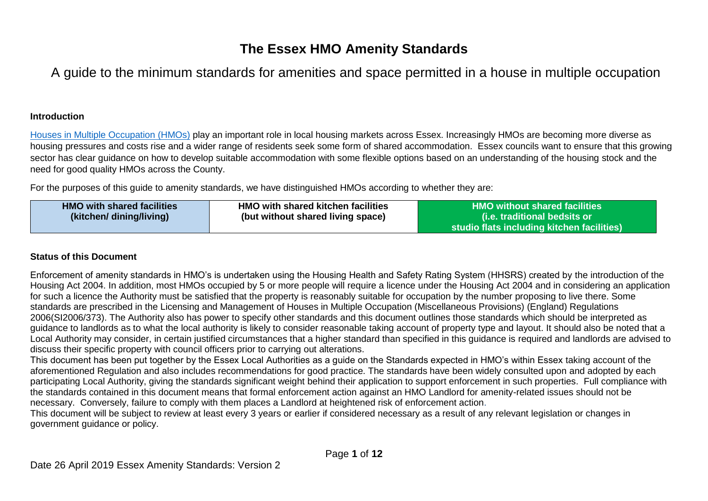# **The Essex HMO Amenity Standards**

A guide to the minimum standards for amenities and space permitted in a house in multiple occupation

# **Introduction**

[Houses in Multiple Occupation \(HMOs\)](https://www.gov.uk/private-renting/houses-in-multiple-occupation) play an important role in local housing markets across Essex. Increasingly HMOs are becoming more diverse as housing pressures and costs rise and a wider range of residents seek some form of shared accommodation. Essex councils want to ensure that this growing sector has clear guidance on how to develop suitable accommodation with some flexible options based on an understanding of the housing stock and the need for good quality HMOs across the County.

For the purposes of this guide to amenity standards, we have distinguished HMOs according to whether they are:

| <b>HMO</b> with shared facilities<br>(kitchen/ dining/living) | <b>HMO with shared kitchen facilities</b><br>. HMO without shared facilities $^{\textrm{\tiny{\textsf{I}}}}$<br>(i.e. traditional bedsits or<br>(but without shared living space)<br>studio flats including kitchen facilities) |
|---------------------------------------------------------------|---------------------------------------------------------------------------------------------------------------------------------------------------------------------------------------------------------------------------------|
|---------------------------------------------------------------|---------------------------------------------------------------------------------------------------------------------------------------------------------------------------------------------------------------------------------|

# **Status of this Document**

Enforcement of amenity standards in HMO's is undertaken using the Housing Health and Safety Rating System (HHSRS) created by the introduction of the Housing Act 2004. In addition, most HMOs occupied by 5 or more people will require a licence under the Housing Act 2004 and in considering an application for such a licence the Authority must be satisfied that the property is reasonably suitable for occupation by the number proposing to live there. Some standards are prescribed in the Licensing and Management of Houses in Multiple Occupation (Miscellaneous Provisions) (England) Regulations 2006(SI2006/373). The Authority also has power to specify other standards and this document outlines those standards which should be interpreted as guidance to landlords as to what the local authority is likely to consider reasonable taking account of property type and layout. It should also be noted that a Local Authority may consider, in certain justified circumstances that a higher standard than specified in this guidance is required and landlords are advised to discuss their specific property with council officers prior to carrying out alterations.

This document has been put together by the Essex Local Authorities as a guide on the Standards expected in HMO's within Essex taking account of the aforementioned Regulation and also includes recommendations for good practice. The standards have been widely consulted upon and adopted by each participating Local Authority, giving the standards significant weight behind their application to support enforcement in such properties. Full compliance with the standards contained in this document means that formal enforcement action against an HMO Landlord for amenity-related issues should not be necessary. Conversely, failure to comply with them places a Landlord at heightened risk of enforcement action.

This document will be subject to review at least every 3 years or earlier if considered necessary as a result of any relevant legislation or changes in government guidance or policy.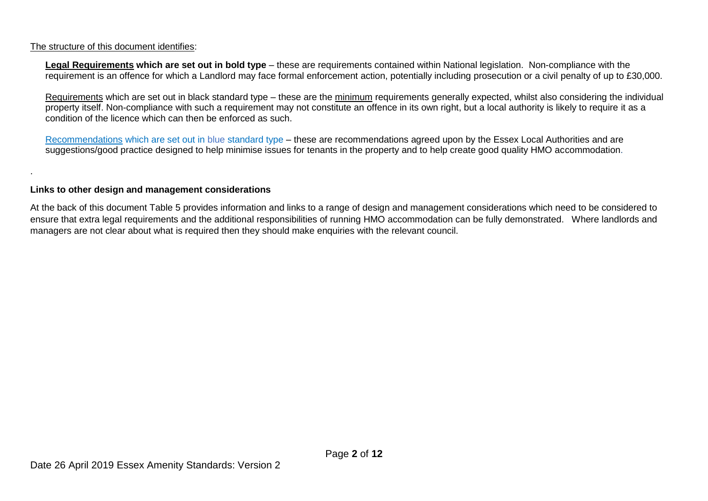## The structure of this document identifies:

.

**Legal Requirements which are set out in bold type** *–* these are requirements contained within National legislation. Non-compliance with the requirement is an offence for which a Landlord may face formal enforcement action, potentially including prosecution or a civil penalty of up to £30,000.

Requirements which are set out in black standard type – these are the minimum requirements generally expected, whilst also considering the individual property itself. Non-compliance with such a requirement may not constitute an offence in its own right, but a local authority is likely to require it as a condition of the licence which can then be enforced as such.

Recommendations which are set out in blue standard type – these are recommendations agreed upon by the Essex Local Authorities and are suggestions/good practice designed to help minimise issues for tenants in the property and to help create good quality HMO accommodation.

### **Links to other design and management considerations**

At the back of this document Table 5 provides information and links to a range of design and management considerations which need to be considered to ensure that extra legal requirements and the additional responsibilities of running HMO accommodation can be fully demonstrated. Where landlords and managers are not clear about what is required then they should make enquiries with the relevant council.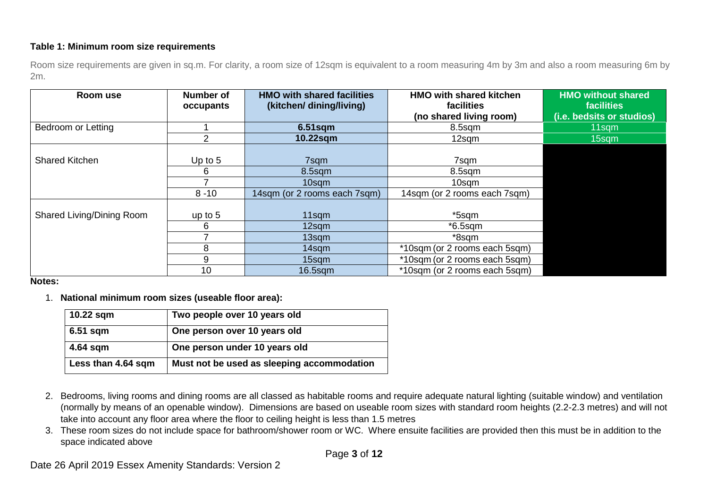# **Table 1: Minimum room size requirements**

Room size requirements are given in sq.m. For clarity, a room size of 12sqm is equivalent to a room measuring 4m by 3m and also a room measuring 6m by 2m.

| Room use                  | Number of<br>occupants | <b>HMO with shared facilities</b><br>(kitchen/dining/living) | <b>HMO with shared kitchen</b><br>facilities | <b>HMO without shared</b><br><b>facilities</b> |
|---------------------------|------------------------|--------------------------------------------------------------|----------------------------------------------|------------------------------------------------|
|                           |                        |                                                              | (no shared living room)                      | (i.e. bedsits or studios)                      |
| Bedroom or Letting        |                        | $6.51$ sqm                                                   | 8.5sqm                                       | 11sqm                                          |
|                           | 2                      | 10.22sqm                                                     | 12sqm                                        | 15sqm                                          |
| <b>Shared Kitchen</b>     | Up to $5$              | 7sqm                                                         | 7sqm                                         |                                                |
|                           | 6                      | $8.5$ sqm                                                    | 8.5sqm                                       |                                                |
|                           |                        | 10sqm                                                        | 10sqm                                        |                                                |
|                           | $8 - 10$               | 14sqm (or 2 rooms each 7sqm)                                 | 14sqm (or 2 rooms each 7sqm)                 |                                                |
| Shared Living/Dining Room | up to $5$              | 11sqm                                                        | *5sqm                                        |                                                |
|                           | 6                      | 12sqm                                                        | $*6.5$ sqm                                   |                                                |
|                           |                        | 13sqm                                                        | *8sqm                                        |                                                |
|                           | 8                      | 14sqm                                                        | *10sqm (or 2 rooms each 5sqm)                |                                                |
|                           | 9                      | 15sqm                                                        | *10sqm (or 2 rooms each 5sqm)                |                                                |
|                           | 10                     | $16.5$ sqm                                                   | *10sqm (or 2 rooms each 5sqm)                |                                                |

#### **Notes:**

1. **National minimum room sizes (useable floor area):** 

| 10.22 sqm          | Two people over 10 years old               |
|--------------------|--------------------------------------------|
| $6.51$ sqm         | One person over 10 years old               |
| 4.64 sqm           | One person under 10 years old              |
| Less than 4.64 sqm | Must not be used as sleeping accommodation |

- 2. Bedrooms, living rooms and dining rooms are all classed as habitable rooms and require adequate natural lighting (suitable window) and ventilation (normally by means of an openable window). Dimensions are based on useable room sizes with standard room heights (2.2-2.3 metres) and will not take into account any floor area where the floor to ceiling height is less than 1.5 metres
- 3. These room sizes do not include space for bathroom/shower room or WC. Where ensuite facilities are provided then this must be in addition to the space indicated above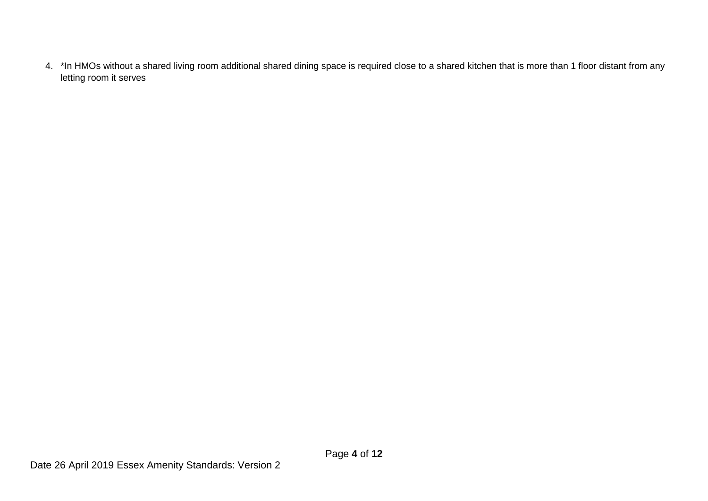4. \*In HMOs without a shared living room additional shared dining space is required close to a shared kitchen that is more than 1 floor distant from any letting room it serves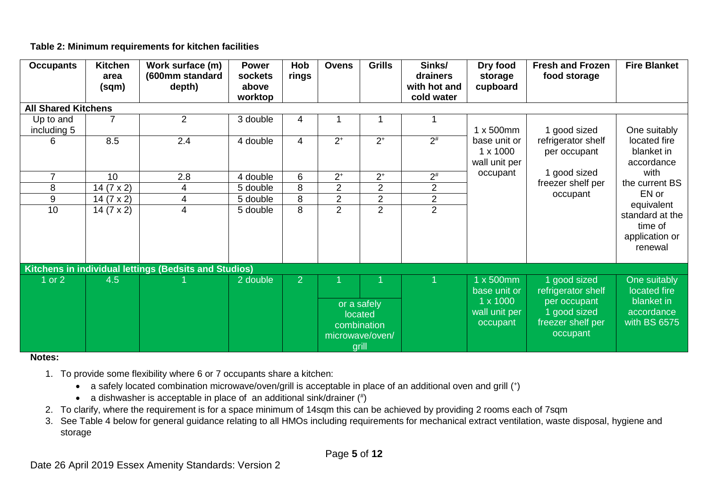# **Table 2: Minimum requirements for kitchen facilities**

| <b>Occupants</b>           | <b>Kitchen</b><br>area<br>(sqm) | Work surface (m)<br>(600mm standard<br>depth)         | <b>Power</b><br>sockets<br>above<br>worktop | Hob<br>rings   | <b>Ovens</b>   | <b>Grills</b>                                                     | Sinks/<br>drainers<br>with hot and<br>cold water | Dry food<br>storage<br>cupboard                  | <b>Fresh and Frozen</b><br>food storage                       | <b>Fire Blanket</b>                                     |
|----------------------------|---------------------------------|-------------------------------------------------------|---------------------------------------------|----------------|----------------|-------------------------------------------------------------------|--------------------------------------------------|--------------------------------------------------|---------------------------------------------------------------|---------------------------------------------------------|
| <b>All Shared Kitchens</b> |                                 |                                                       |                                             |                |                |                                                                   |                                                  |                                                  |                                                               |                                                         |
| Up to and<br>including 5   | $\overline{7}$                  | 2                                                     | 3 double                                    | 4              |                |                                                                   |                                                  | $1 \times 500$ mm                                | 1 good sized                                                  | One suitably                                            |
| 6.                         | 8.5                             | 2.4                                                   | 4 double                                    | $\overline{4}$ | $2^+$          | $2^+$                                                             | $2^{\#}$                                         | base unit or<br>$1 \times 1000$<br>wall unit per | refrigerator shelf<br>per occupant                            | located fire<br>blanket in<br>accordance                |
| 7                          | 10                              | 2.8                                                   | 4 double                                    | 6              | $2^+$          | $2^+$                                                             | $2^{\#}$                                         | occupant                                         | 1 good sized                                                  | with                                                    |
| 8                          | 14 $(7 \times 2)$               | 4                                                     | 5 double                                    | 8              | $\overline{2}$ | $\overline{2}$                                                    | $\overline{2}$                                   |                                                  | freezer shelf per                                             | the current BS<br>EN or                                 |
| 9                          | 14 $(7 \times 2)$               | 4                                                     | 5 double                                    | 8              | $\overline{c}$ | $\overline{2}$                                                    | $\overline{c}$                                   |                                                  | occupant                                                      | equivalent                                              |
| 10                         | 14 $(7 \times 2)$               | 4                                                     | 5 double                                    | 8              | $\overline{2}$ | $\overline{2}$                                                    | $\overline{2}$                                   |                                                  |                                                               | standard at the<br>time of<br>application or<br>renewal |
|                            |                                 | Kitchens in individual lettings (Bedsits and Studios) |                                             |                |                |                                                                   |                                                  |                                                  |                                                               |                                                         |
| or $2$                     | 4.5                             |                                                       | 2 double                                    | $\overline{2}$ |                |                                                                   |                                                  | 1 x 500mm<br>base unit or                        | 1 good sized<br>refrigerator shelf                            | One suitably<br>located fire                            |
|                            |                                 |                                                       |                                             |                |                | or a safely<br>located<br>combination<br>microwave/oven/<br>grill |                                                  | $1 \times 1000$<br>wall unit per<br>occupant     | per occupant<br>1 good sized<br>freezer shelf per<br>occupant | blanket in<br>accordance<br>with BS 6575                |

### **Notes:**

- 1. To provide some flexibility where 6 or 7 occupants share a kitchen:
	- a safely located combination microwave/oven/grill is acceptable in place of an additional oven and grill (+)
	- a dishwasher is acceptable in place of an additional sink/drainer  $(*)$
- 2. To clarify, where the requirement is for a space minimum of 14sqm this can be achieved by providing 2 rooms each of 7sqm
- 3. See Table 4 below for general guidance relating to all HMOs including requirements for mechanical extract ventilation, waste disposal, hygiene and storage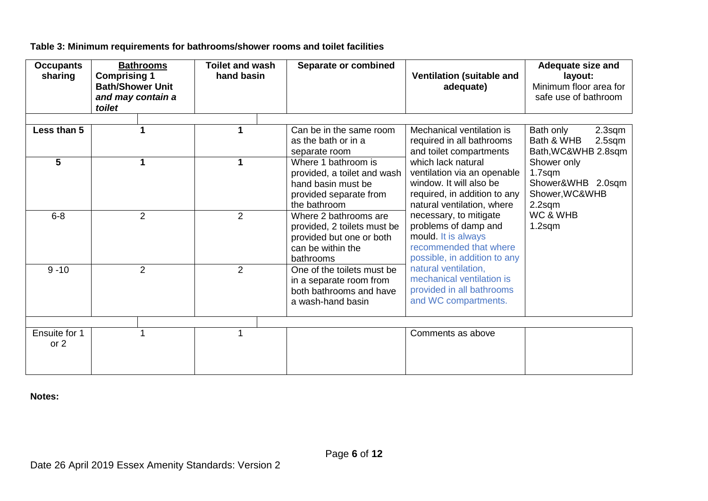# **Table 3: Minimum requirements for bathrooms/shower rooms and toilet facilities**

| <b>Occupants</b><br>sharing | <b>Bathrooms</b><br><b>Comprising 1</b><br><b>Bath/Shower Unit</b><br>and may contain a<br>toilet | <b>Toilet and wash</b><br>hand basin | Separate or combined                                                                                               | <b>Ventilation (suitable and</b><br>adequate)                                                                                              | Adequate size and<br>layout:<br>Minimum floor area for<br>safe use of bathroom |
|-----------------------------|---------------------------------------------------------------------------------------------------|--------------------------------------|--------------------------------------------------------------------------------------------------------------------|--------------------------------------------------------------------------------------------------------------------------------------------|--------------------------------------------------------------------------------|
| Less than 5                 | 1                                                                                                 | 1                                    | Can be in the same room<br>as the bath or in a<br>separate room                                                    | Mechanical ventilation is<br>required in all bathrooms<br>and toilet compartments                                                          | Bath only<br>2.3sqm<br>Bath & WHB<br>$2.5$ sqm<br>Bath, WC&WHB 2.8sqm          |
| 5                           | 1                                                                                                 | 1                                    | Where 1 bathroom is<br>provided, a toilet and wash<br>hand basin must be<br>provided separate from<br>the bathroom | which lack natural<br>ventilation via an openable<br>window. It will also be<br>required, in addition to any<br>natural ventilation, where | Shower only<br>$1.7$ sqm<br>Shower&WHB 2.0sqm<br>Shower, WC&WHB<br>2.2sqm      |
| $6 - 8$                     | $\overline{2}$                                                                                    | 2                                    | Where 2 bathrooms are<br>provided, 2 toilets must be<br>provided but one or both<br>can be within the<br>bathrooms | necessary, to mitigate<br>problems of damp and<br>mould. It is always<br>recommended that where<br>possible, in addition to any            | WC & WHB<br>$1.2$ sqm                                                          |
| $9 - 10$                    | $\overline{2}$                                                                                    | $\overline{2}$                       | One of the toilets must be<br>in a separate room from<br>both bathrooms and have<br>a wash-hand basin              | natural ventilation,<br>mechanical ventilation is<br>provided in all bathrooms<br>and WC compartments.                                     |                                                                                |
|                             |                                                                                                   |                                      |                                                                                                                    |                                                                                                                                            |                                                                                |
| Ensuite for 1<br>or 2       |                                                                                                   |                                      |                                                                                                                    | Comments as above                                                                                                                          |                                                                                |

**Notes:**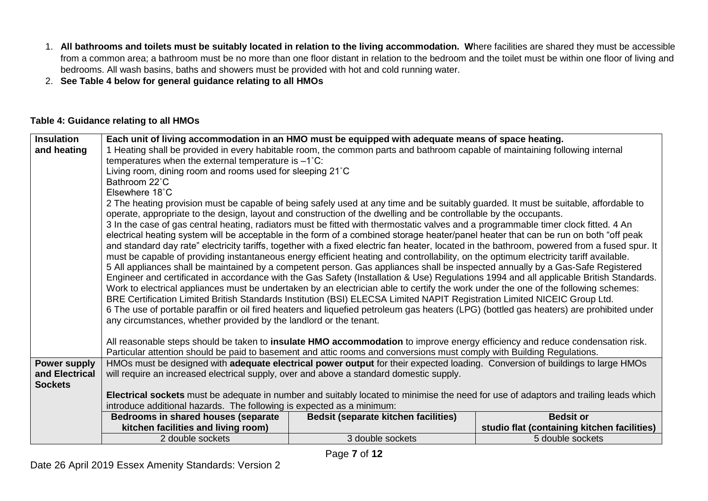- 1. **All bathrooms and toilets must be suitably located in relation to the living accommodation. W**here facilities are shared they must be accessible from a common area; a bathroom must be no more than one floor distant in relation to the bedroom and the toilet must be within one floor of living and bedrooms. All wash basins, baths and showers must be provided with hot and cold running water.
- 2. **See Table 4 below for general guidance relating to all HMOs**

# **Table 4: Guidance relating to all HMOs**

| <b>Insulation</b>   |                                                                                         | Each unit of living accommodation in an HMO must be equipped with adequate means of space heating.                                                                                                                                                        |                                             |
|---------------------|-----------------------------------------------------------------------------------------|-----------------------------------------------------------------------------------------------------------------------------------------------------------------------------------------------------------------------------------------------------------|---------------------------------------------|
| and heating         |                                                                                         | 1 Heating shall be provided in every habitable room, the common parts and bathroom capable of maintaining following internal                                                                                                                              |                                             |
|                     | temperatures when the external temperature is $-1^{\circ}$ C:                           |                                                                                                                                                                                                                                                           |                                             |
|                     | Living room, dining room and rooms used for sleeping 21°C                               |                                                                                                                                                                                                                                                           |                                             |
|                     | Bathroom 22°C                                                                           |                                                                                                                                                                                                                                                           |                                             |
|                     | Elsewhere 18°C                                                                          |                                                                                                                                                                                                                                                           |                                             |
|                     |                                                                                         | 2 The heating provision must be capable of being safely used at any time and be suitably guarded. It must be suitable, affordable to<br>operate, appropriate to the design, layout and construction of the dwelling and be controllable by the occupants. |                                             |
|                     |                                                                                         | 3 In the case of gas central heating, radiators must be fitted with thermostatic valves and a programmable timer clock fitted. 4 An                                                                                                                       |                                             |
|                     |                                                                                         | electrical heating system will be acceptable in the form of a combined storage heater/panel heater that can be run on both "off peak                                                                                                                      |                                             |
|                     |                                                                                         | and standard day rate" electricity tariffs, together with a fixed electric fan heater, located in the bathroom, powered from a fused spur. It                                                                                                             |                                             |
|                     |                                                                                         | must be capable of providing instantaneous energy efficient heating and controllability, on the optimum electricity tariff available.                                                                                                                     |                                             |
|                     |                                                                                         | 5 All appliances shall be maintained by a competent person. Gas appliances shall be inspected annually by a Gas-Safe Registered                                                                                                                           |                                             |
|                     |                                                                                         | Engineer and certificated in accordance with the Gas Safety (Installation & Use) Regulations 1994 and all applicable British Standards.                                                                                                                   |                                             |
|                     |                                                                                         | Work to electrical appliances must be undertaken by an electrician able to certify the work under the one of the following schemes:                                                                                                                       |                                             |
|                     |                                                                                         | BRE Certification Limited British Standards Institution (BSI) ELECSA Limited NAPIT Registration Limited NICEIC Group Ltd.                                                                                                                                 |                                             |
|                     |                                                                                         | 6 The use of portable paraffin or oil fired heaters and liquefied petroleum gas heaters (LPG) (bottled gas heaters) are prohibited under                                                                                                                  |                                             |
|                     | any circumstances, whether provided by the landlord or the tenant.                      |                                                                                                                                                                                                                                                           |                                             |
|                     |                                                                                         | All reasonable steps should be taken to insulate HMO accommodation to improve energy efficiency and reduce condensation risk.                                                                                                                             |                                             |
|                     |                                                                                         | Particular attention should be paid to basement and attic rooms and conversions must comply with Building Regulations.                                                                                                                                    |                                             |
| <b>Power supply</b> |                                                                                         | HMOs must be designed with adequate electrical power output for their expected loading. Conversion of buildings to large HMOs                                                                                                                             |                                             |
| and Electrical      | will require an increased electrical supply, over and above a standard domestic supply. |                                                                                                                                                                                                                                                           |                                             |
| <b>Sockets</b>      |                                                                                         |                                                                                                                                                                                                                                                           |                                             |
|                     |                                                                                         | Electrical sockets must be adequate in number and suitably located to minimise the need for use of adaptors and trailing leads which                                                                                                                      |                                             |
|                     | introduce additional hazards. The following is expected as a minimum:                   |                                                                                                                                                                                                                                                           |                                             |
|                     | Bedrooms in shared houses (separate                                                     | <b>Bedsit (separate kitchen facilities)</b>                                                                                                                                                                                                               | <b>Bedsit or</b>                            |
|                     | kitchen facilities and living room)                                                     |                                                                                                                                                                                                                                                           | studio flat (containing kitchen facilities) |
|                     | 2 double sockets                                                                        | 3 double sockets                                                                                                                                                                                                                                          | 5 double sockets                            |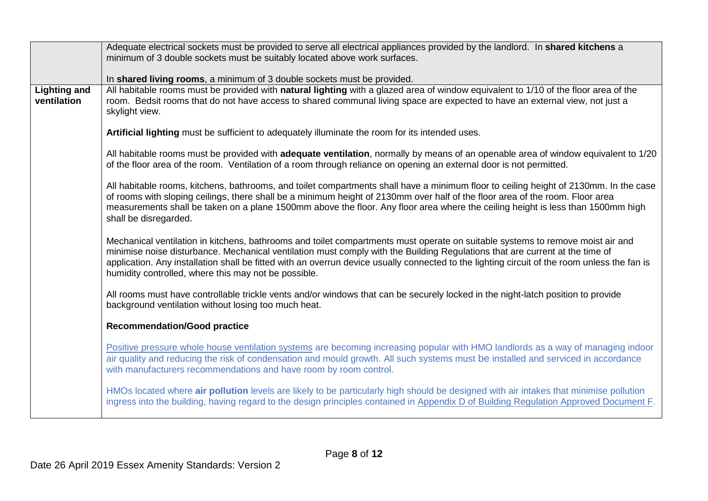|                                    | Adequate electrical sockets must be provided to serve all electrical appliances provided by the landlord. In shared kitchens a                                                                                                                                                                                                                                                                                                                                         |
|------------------------------------|------------------------------------------------------------------------------------------------------------------------------------------------------------------------------------------------------------------------------------------------------------------------------------------------------------------------------------------------------------------------------------------------------------------------------------------------------------------------|
|                                    | minimum of 3 double sockets must be suitably located above work surfaces.                                                                                                                                                                                                                                                                                                                                                                                              |
|                                    |                                                                                                                                                                                                                                                                                                                                                                                                                                                                        |
|                                    | In shared living rooms, a minimum of 3 double sockets must be provided.                                                                                                                                                                                                                                                                                                                                                                                                |
| <b>Lighting and</b><br>ventilation | All habitable rooms must be provided with natural lighting with a glazed area of window equivalent to 1/10 of the floor area of the<br>room. Bedsit rooms that do not have access to shared communal living space are expected to have an external view, not just a<br>skylight view.                                                                                                                                                                                  |
|                                    | Artificial lighting must be sufficient to adequately illuminate the room for its intended uses.                                                                                                                                                                                                                                                                                                                                                                        |
|                                    | All habitable rooms must be provided with adequate ventilation, normally by means of an openable area of window equivalent to 1/20<br>of the floor area of the room. Ventilation of a room through reliance on opening an external door is not permitted.                                                                                                                                                                                                              |
|                                    | All habitable rooms, kitchens, bathrooms, and toilet compartments shall have a minimum floor to ceiling height of 2130mm. In the case<br>of rooms with sloping ceilings, there shall be a minimum height of 2130mm over half of the floor area of the room. Floor area<br>measurements shall be taken on a plane 1500mm above the floor. Any floor area where the ceiling height is less than 1500mm high<br>shall be disregarded.                                     |
|                                    | Mechanical ventilation in kitchens, bathrooms and toilet compartments must operate on suitable systems to remove moist air and<br>minimise noise disturbance. Mechanical ventilation must comply with the Building Regulations that are current at the time of<br>application. Any installation shall be fitted with an overrun device usually connected to the lighting circuit of the room unless the fan is<br>humidity controlled, where this may not be possible. |
|                                    | All rooms must have controllable trickle vents and/or windows that can be securely locked in the night-latch position to provide<br>background ventilation without losing too much heat.                                                                                                                                                                                                                                                                               |
|                                    | <b>Recommendation/Good practice</b>                                                                                                                                                                                                                                                                                                                                                                                                                                    |
|                                    | Positive pressure whole house ventilation systems are becoming increasing popular with HMO landlords as a way of managing indoor<br>air quality and reducing the risk of condensation and mould growth. All such systems must be installed and serviced in accordance<br>with manufacturers recommendations and have room by room control.                                                                                                                             |
|                                    | HMOs located where air pollution levels are likely to be particularly high should be designed with air intakes that minimise pollution<br>ingress into the building, having regard to the design principles contained in Appendix D of Building Regulation Approved Document F.                                                                                                                                                                                        |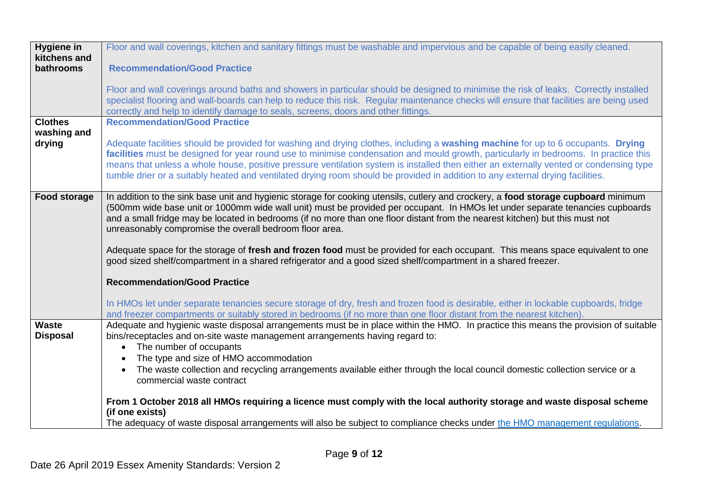| <b>Hygiene in</b><br>kitchens and | Floor and wall coverings, kitchen and sanitary fittings must be washable and impervious and be capable of being easily cleaned.                                                                                                                                          |
|-----------------------------------|--------------------------------------------------------------------------------------------------------------------------------------------------------------------------------------------------------------------------------------------------------------------------|
| bathrooms                         | <b>Recommendation/Good Practice</b>                                                                                                                                                                                                                                      |
|                                   | Floor and wall coverings around baths and showers in particular should be designed to minimise the risk of leaks. Correctly installed                                                                                                                                    |
|                                   | specialist flooring and wall-boards can help to reduce this risk. Regular maintenance checks will ensure that facilities are being used                                                                                                                                  |
|                                   | correctly and help to identify damage to seals, screens, doors and other fittings.                                                                                                                                                                                       |
| <b>Clothes</b>                    | <b>Recommendation/Good Practice</b>                                                                                                                                                                                                                                      |
| washing and                       |                                                                                                                                                                                                                                                                          |
| drying                            | Adequate facilities should be provided for washing and drying clothes, including a washing machine for up to 6 occupants. Drying<br>facilities must be designed for year round use to minimise condensation and mould growth, particularly in bedrooms. In practice this |
|                                   | means that unless a whole house, positive pressure ventilation system is installed then either an externally vented or condensing type                                                                                                                                   |
|                                   | tumble drier or a suitably heated and ventilated drying room should be provided in addition to any external drying facilities.                                                                                                                                           |
|                                   |                                                                                                                                                                                                                                                                          |
| <b>Food storage</b>               | In addition to the sink base unit and hygienic storage for cooking utensils, cutlery and crockery, a food storage cupboard minimum                                                                                                                                       |
|                                   | (500mm wide base unit or 1000mm wide wall unit) must be provided per occupant. In HMOs let under separate tenancies cupboards                                                                                                                                            |
|                                   | and a small fridge may be located in bedrooms (if no more than one floor distant from the nearest kitchen) but this must not<br>unreasonably compromise the overall bedroom floor area.                                                                                  |
|                                   |                                                                                                                                                                                                                                                                          |
|                                   | Adequate space for the storage of fresh and frozen food must be provided for each occupant. This means space equivalent to one                                                                                                                                           |
|                                   | good sized shelf/compartment in a shared refrigerator and a good sized shelf/compartment in a shared freezer.                                                                                                                                                            |
|                                   | <b>Recommendation/Good Practice</b>                                                                                                                                                                                                                                      |
|                                   |                                                                                                                                                                                                                                                                          |
|                                   | In HMOs let under separate tenancies secure storage of dry, fresh and frozen food is desirable, either in lockable cupboards, fridge                                                                                                                                     |
|                                   | and freezer compartments or suitably stored in bedrooms (if no more than one floor distant from the nearest kitchen).                                                                                                                                                    |
| <b>Waste</b>                      | Adequate and hygienic waste disposal arrangements must be in place within the HMO. In practice this means the provision of suitable                                                                                                                                      |
| <b>Disposal</b>                   | bins/receptacles and on-site waste management arrangements having regard to:                                                                                                                                                                                             |
|                                   | • The number of occupants                                                                                                                                                                                                                                                |
|                                   | The type and size of HMO accommodation                                                                                                                                                                                                                                   |
|                                   | The waste collection and recycling arrangements available either through the local council domestic collection service or a<br>commercial waste contract                                                                                                                 |
|                                   |                                                                                                                                                                                                                                                                          |
|                                   | From 1 October 2018 all HMOs requiring a licence must comply with the local authority storage and waste disposal scheme                                                                                                                                                  |
|                                   | (if one exists)                                                                                                                                                                                                                                                          |
|                                   | The adequacy of waste disposal arrangements will also be subject to compliance checks under the HMO management regulations.                                                                                                                                              |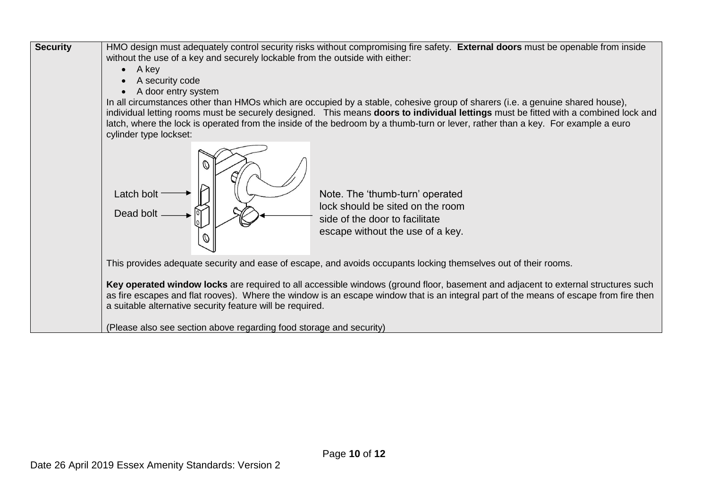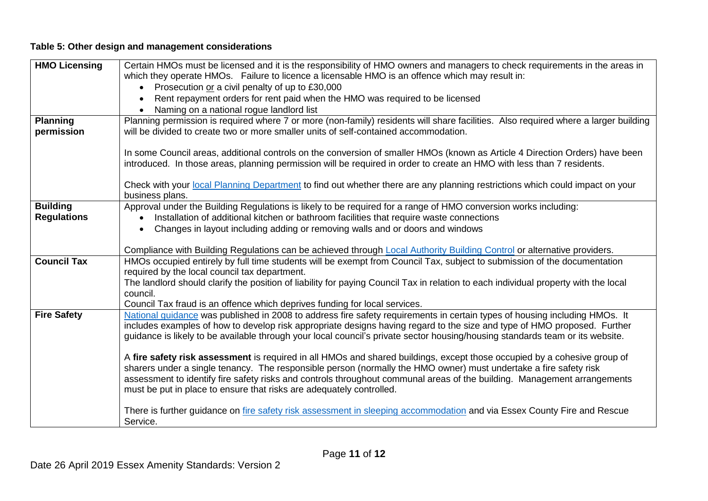# **Table 5: Other design and management considerations**

| <b>HMO Licensing</b>          | Certain HMOs must be licensed and it is the responsibility of HMO owners and managers to check requirements in the areas in<br>which they operate HMOs. Failure to licence a licensable HMO is an offence which may result in:                                                                                                                                                          |
|-------------------------------|-----------------------------------------------------------------------------------------------------------------------------------------------------------------------------------------------------------------------------------------------------------------------------------------------------------------------------------------------------------------------------------------|
|                               | • Prosecution or a civil penalty of up to £30,000                                                                                                                                                                                                                                                                                                                                       |
|                               | Rent repayment orders for rent paid when the HMO was required to be licensed                                                                                                                                                                                                                                                                                                            |
|                               | Naming on a national rogue landlord list                                                                                                                                                                                                                                                                                                                                                |
| <b>Planning</b><br>permission | Planning permission is required where 7 or more (non-family) residents will share facilities. Also required where a larger building<br>will be divided to create two or more smaller units of self-contained accommodation.                                                                                                                                                             |
|                               | In some Council areas, additional controls on the conversion of smaller HMOs (known as Article 4 Direction Orders) have been<br>introduced. In those areas, planning permission will be required in order to create an HMO with less than 7 residents.                                                                                                                                  |
|                               | Check with your local Planning Department to find out whether there are any planning restrictions which could impact on your<br>business plans.                                                                                                                                                                                                                                         |
| <b>Building</b>               | Approval under the Building Regulations is likely to be required for a range of HMO conversion works including:                                                                                                                                                                                                                                                                         |
| <b>Regulations</b>            | Installation of additional kitchen or bathroom facilities that require waste connections                                                                                                                                                                                                                                                                                                |
|                               | Changes in layout including adding or removing walls and or doors and windows                                                                                                                                                                                                                                                                                                           |
|                               | Compliance with Building Regulations can be achieved through Local Authority Building Control or alternative providers.                                                                                                                                                                                                                                                                 |
| <b>Council Tax</b>            | HMOs occupied entirely by full time students will be exempt from Council Tax, subject to submission of the documentation                                                                                                                                                                                                                                                                |
|                               | required by the local council tax department.                                                                                                                                                                                                                                                                                                                                           |
|                               | The landlord should clarify the position of liability for paying Council Tax in relation to each individual property with the local<br>council.                                                                                                                                                                                                                                         |
|                               | Council Tax fraud is an offence which deprives funding for local services.                                                                                                                                                                                                                                                                                                              |
| <b>Fire Safety</b>            | National guidance was published in 2008 to address fire safety requirements in certain types of housing including HMOs. It<br>includes examples of how to develop risk appropriate designs having regard to the size and type of HMO proposed. Further<br>guidance is likely to be available through your local council's private sector housing/housing standards team or its website. |
|                               | A fire safety risk assessment is required in all HMOs and shared buildings, except those occupied by a cohesive group of                                                                                                                                                                                                                                                                |
|                               | sharers under a single tenancy. The responsible person (normally the HMO owner) must undertake a fire safety risk                                                                                                                                                                                                                                                                       |
|                               | assessment to identify fire safety risks and controls throughout communal areas of the building. Management arrangements<br>must be put in place to ensure that risks are adequately controlled.                                                                                                                                                                                        |
|                               |                                                                                                                                                                                                                                                                                                                                                                                         |
|                               | There is further guidance on <i>fire safety risk assessment in sleeping accommodation</i> and via Essex County Fire and Rescue<br>Service.                                                                                                                                                                                                                                              |